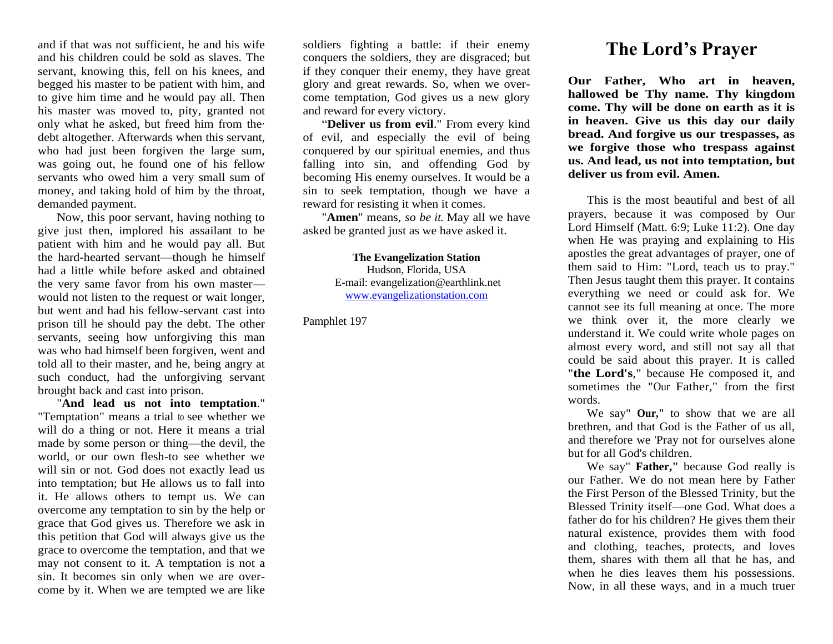and if that was not sufficient, he and his wife and his children could be sold as slaves. The servant, knowing this, fell on his knees, and begged his master to be patient with him, and to give him time and he would pay all. Then his master was moved to, pity, granted not only what he asked, but freed him from the· debt altogether. Afterwards when this servant, who had just been forgiven the large sum, was going out, he found one of his fellow servants who owed him a very small sum of money, and taking hold of him by the throat, demanded payment.

Now, this poor servant, having nothing to give just then, implored his assailant to be patient with him and he would pay all. But the hard-hearted servant—though he himself had a little while before asked and obtained the very same favor from his own master would not listen to the request or wait longer, but went and had his fellow-servant cast into prison till he should pay the debt. The other servants, seeing how unforgiving this man was who had himself been forgiven, went and told all to their master, and he, being angry at such conduct, had the unforgiving servant brought back and cast into prison.

"**And lead us not into temptation**." "Temptation" means a trial to see whether we will do a thing or not. Here it means a trial made by some person or thing—the devil, the world, or our own flesh-to see whether we will sin or not. God does not exactly lead us into temptation; but He allows us to fall into it. He allows others to tempt us. We can overcome any temptation to sin by the help or grace that God gives us. Therefore we ask in this petition that God will always give us the grace to overcome the temptation, and that we may not consent to it. A temptation is not a sin. It becomes sin only when we are overcome by it. When we are tempted we are like

soldiers fighting a battle: if their enemy conquers the soldiers, they are disgraced; but if they conquer their enemy, they have great glory and great rewards. So, when we overcome temptation, God gives us a new glory and reward for every victory.

"**Deliver us from evil**." From every kind of evil, and especially the evil of being conquered by our spiritual enemies, and thus falling into sin, and offending God by becoming His enemy ourselves. It would be a sin to seek temptation, though we have a reward for resisting it when it comes.

"**Amen**" means, *so be it.* May all we have asked be granted just as we have asked it.

> **The Evangelization Station** Hudson, Florida, USA E-mail: evangelization@earthlink.net [www.evangelizationstation.com](http://www.pjpiisoe.org/)

Pamphlet 197

## **The Lord's Prayer**

**Our Father, Who art in heaven, hallowed be Thy name. Thy kingdom come. Thy will be done on earth as it is in heaven. Give us this day our daily bread. And forgive us our trespasses, as we forgive those who trespass against us. And lead, us not into temptation, but deliver us from evil. Amen.** 

This is the most beautiful and best of all prayers, because it was composed by Our Lord Himself (Matt. 6:9; Luke 11:2). One day when He was praying and explaining to His apostles the great advantages of prayer, one of them said to Him: "Lord, teach us to pray." Then Jesus taught them this prayer. It contains everything we need or could ask for. We cannot see its full meaning at once. The more we think over it, the more clearly we understand it. We could write whole pages on almost every word, and still not say all that could be said about this prayer. It is called "**the Lord's**," because He composed it, and sometimes the **"**Our Father," from the first words.

We say" **Our,"** to show that we are all brethren, and that God is the Father of us all, and therefore we 'Pray not for ourselves alone but for all God's children.

We say" **Father,"** because God really is our Father. We do not mean here by Father the First Person of the Blessed Trinity, but the Blessed Trinity itself—one God. What does a father do for his children? He gives them their natural existence, provides them with food and clothing, teaches, protects, and loves them, shares with them all that he has, and when he dies leaves them his possessions. Now, in all these ways, and in a much truer